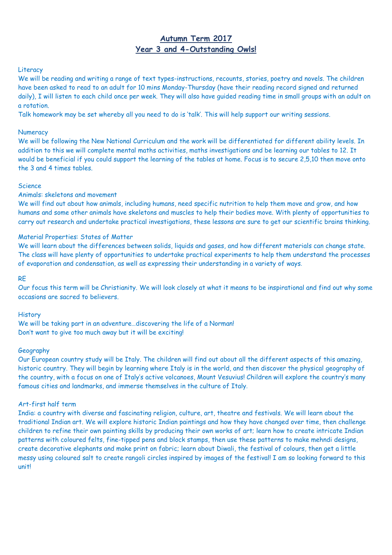# **Autumn Term 2017 Year 3 and 4-Outstanding Owls!**

# **Literacy**

We will be reading and writing a range of text types-instructions, recounts, stories, poetry and novels. The children have been asked to read to an adult for 10 mins Monday-Thursday (have their reading record signed and returned daily), I will listen to each child once per week. They will also have guided reading time in small groups with an adult on a rotation.

Talk homework may be set whereby all you need to do is 'talk'. This will help support our writing sessions.

#### **Numeracy**

We will be following the New National Curriculum and the work will be differentiated for different ability levels. In addition to this we will complete mental maths activities, maths investigations and be learning our tables to 12. It would be beneficial if you could support the learning of the tables at home. Focus is to secure 2,5,10 then move onto the 3 and 4 times tables.

#### Science

#### Animals: skeletons and movement

We will find out about how animals, including humans, need specific nutrition to help them move and grow, and how humans and some other animals have skeletons and muscles to help their bodies move. With plenty of opportunities to carry out research and undertake practical investigations, these lessons are sure to get our scientific brains thinking.

## Material Properties: States of Matter

We will learn about the differences between solids, liquids and gases, and how different materials can change state. The class will have plenty of opportunities to undertake practical experiments to help them understand the processes of evaporation and condensation, as well as expressing their understanding in a variety of ways.

#### RE

Our focus this term will be Christianity. We will look closely at what it means to be inspirational and find out why some occasions are sacred to believers.

#### **History**

We will be taking part in an adventure... discovering the life of a Norman! Don't want to give too much away but it will be exciting!

#### Geography

Our European country study will be Italy. The children will find out about all the different aspects of this amazing, historic country. They will begin by learning where Italy is in the world, and then discover the physical geography of the country, with a focus on one of Italy's active volcanoes, Mount Vesuvius! Children will explore the country's many famous cities and landmarks, and immerse themselves in the culture of Italy.

#### Art-first half term

India: a country with diverse and fascinating religion, culture, art, theatre and festivals. We will learn about the traditional Indian art. We will explore historic Indian paintings and how they have changed over time, then challenge children to refine their own painting skills by producing their own works of art; learn how to create intricate Indian patterns with coloured felts, fine-tipped pens and block stamps, then use these patterns to make mehndi designs, create decorative elephants and make print on fabric; learn about Diwali, the festival of colours, then get a little messy using coloured salt to create rangoli circles inspired by images of the festival! I am so looking forward to this unit!